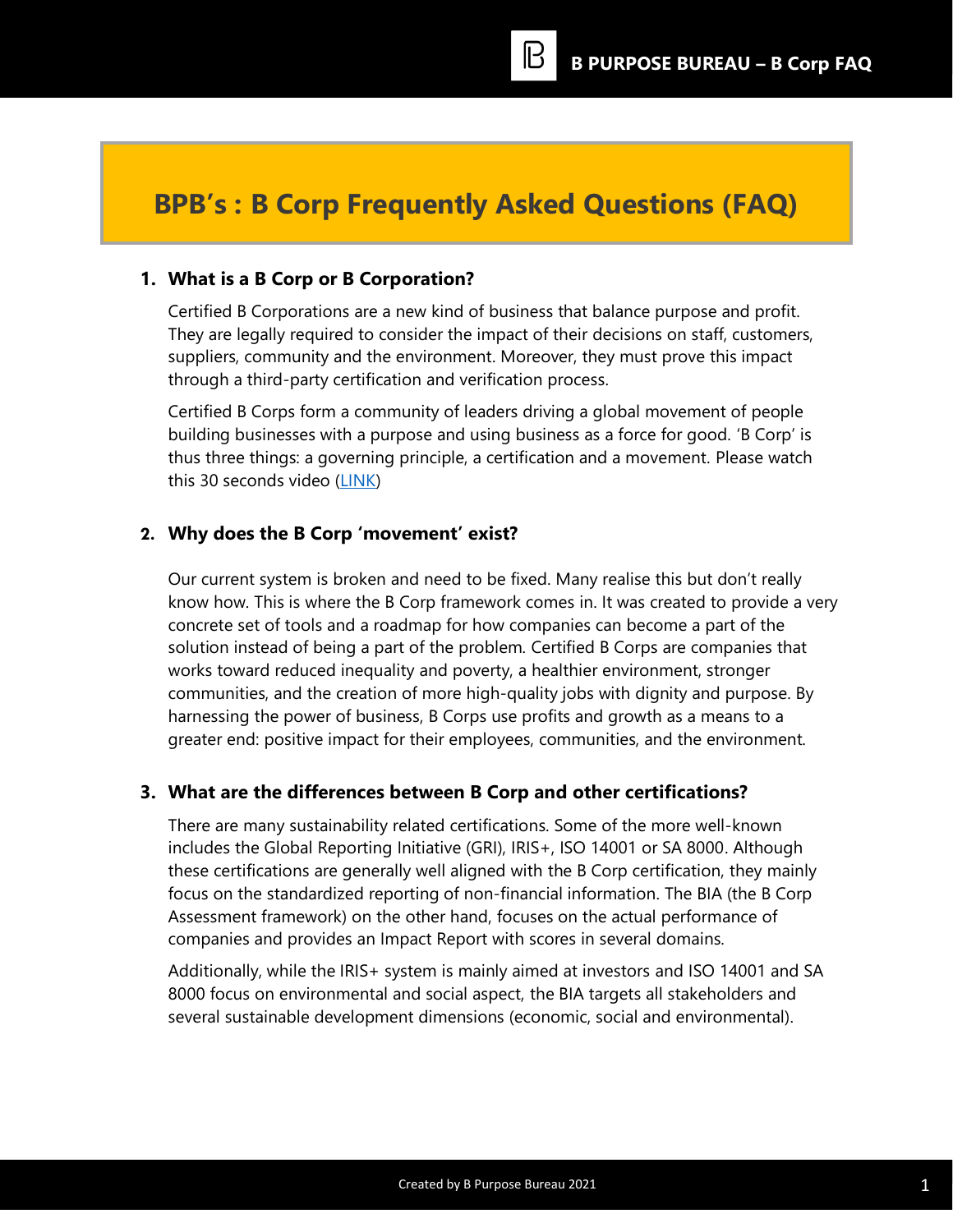# **BPB's : B Corp Frequently Asked Questions (FAQ)**

### **1. What is a B Corp or B Corporation?**

Certified B Corporations are a new kind of business that balance purpose and profit. They are legally required to consider the impact of their decisions on staff, customers, suppliers, community and the environment. Moreover, they must prove this impact through a third-party certification and verification process.

Certified B Corps form a community of leaders driving a global movement of people building businesses with a purpose and using business as a force for good. 'B Corp' is thus three things: a governing principle, a certification and a movement. Please watch this 30 seconds video [\(LINK\)](https://www.youtube.com/watch?v=BY_AEvvFQ9U)

### **2. Why does the B Corp 'movement' exist?**

Our current system is broken and need to be fixed. Many realise this but don't really know how. This is where the B Corp framework comes in. It was created to provide a very concrete set of tools and a roadmap for how companies can become a part of the solution instead of being a part of the problem. Certified B Corps are companies that works toward reduced inequality and poverty, a healthier environment, stronger communities, and the creation of more high-quality jobs with dignity and purpose. By harnessing the power of business, B Corps use profits and growth as a means to a greater end: positive impact for their employees, communities, and the environment.

#### **3. What are the differences between B Corp and other certifications?**

There are many sustainability related certifications. Some of the more well-known includes the Global Reporting Initiative (GRI), IRIS+, ISO 14001 or SA 8000. Although these certifications are generally well aligned with the B Corp certification, they mainly focus on the standardized reporting of non-financial information. The BIA (the B Corp Assessment framework) on the other hand, focuses on the actual performance of companies and provides an Impact Report with scores in several domains.

Additionally, while the IRIS+ system is mainly aimed at investors and ISO 14001 and SA 8000 focus on environmental and social aspect, the BIA targets all stakeholders and several sustainable development dimensions (economic, social and environmental).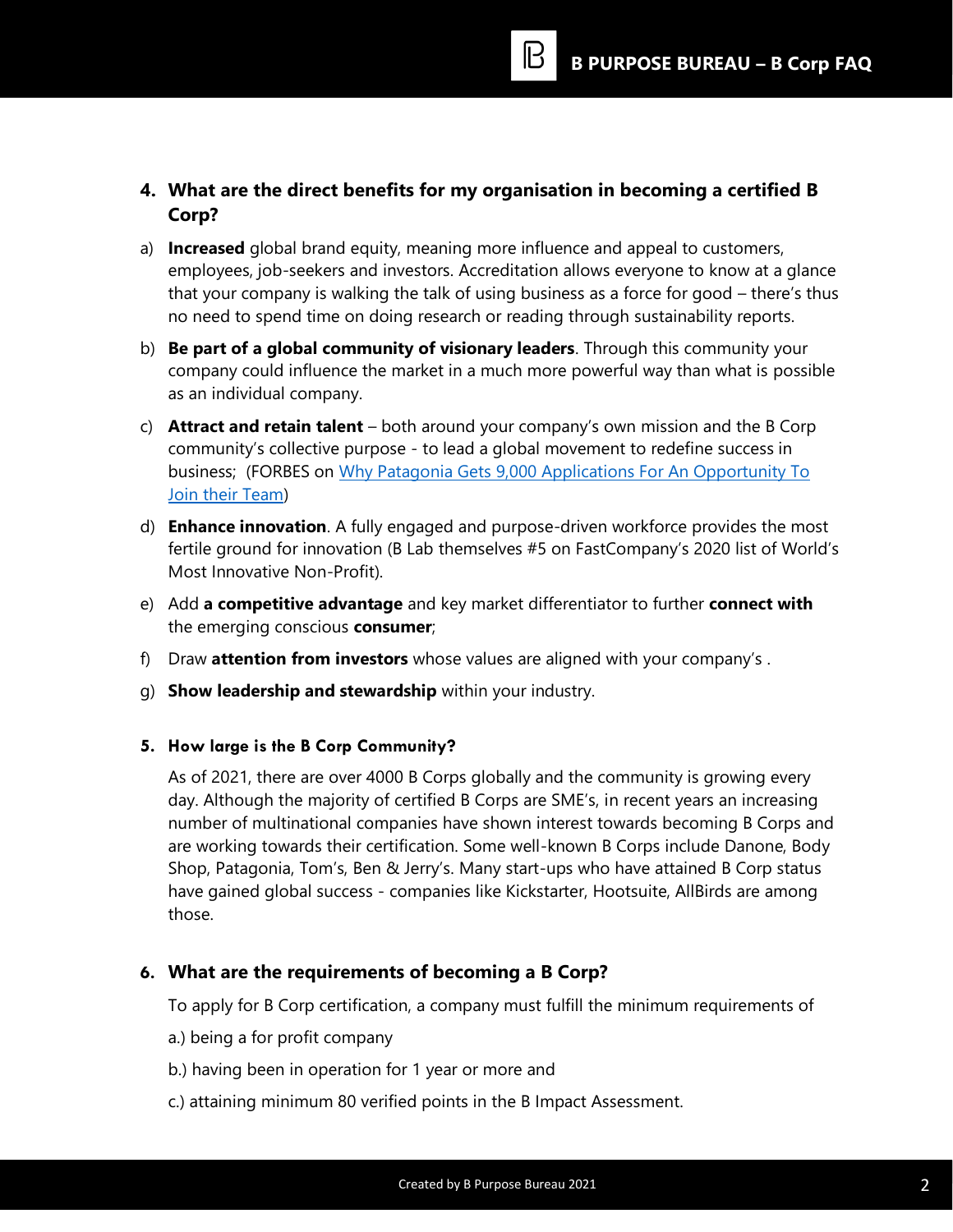**4. What are the direct benefits for my organisation in becoming a certified B Corp?**

B

- a) **Increased** global brand equity, meaning more influence and appeal to customers, employees, job-seekers and investors. Accreditation allows everyone to know at a glance that your company is walking the talk of using business as a force for good – there's thus no need to spend time on doing research or reading through sustainability reports.
- b) **Be part of a global community of visionary leaders**. Through this community your company could influence the market in a much more powerful way than what is possible as an individual company.
- c) **Attract and retain talent** both around your company's own mission and the B Corp community's collective purpose - to lead a global movement to redefine success in business; (FORBES on [Why Patagonia Gets 9,000 Applications For An Opportunity To](https://www.forbes.com/sites/nelldebevoise/2020/02/25/why-patagonia-gets-9000-applications-for-every-open-role/?sh=7afc6331612f)  [Join their Team\)](https://www.forbes.com/sites/nelldebevoise/2020/02/25/why-patagonia-gets-9000-applications-for-every-open-role/?sh=7afc6331612f)
- d) **Enhance innovation**. A fully engaged and purpose-driven workforce provides the most fertile ground for innovation (B Lab themselves #5 on FastCompany's 2020 list of World's Most Innovative Non-Profit).
- e) Add **a competitive advantage** and key market differentiator to further **connect with** the emerging conscious **consumer**;
- f) Draw **attention from investors** whose values are aligned with your company's .
- g) **Show leadership and stewardship** within your industry.

### **5. How large is the B Corp Community?**

As of 2021, there are over 4000 B Corps globally and the community is growing every day. Although the majority of certified B Corps are SME's, in recent years an increasing number of multinational companies have shown interest towards becoming B Corps and are working towards their certification. Some well-known B Corps include Danone, Body Shop, Patagonia, Tom's, Ben & Jerry's. Many start-ups who have attained B Corp status have gained global success - companies like Kickstarter, Hootsuite, AllBirds are among those.

## **6. What are the requirements of becoming a B Corp?**

To apply for B Corp certification, a company must fulfill the minimum requirements of

- a.) being a for profit company
- b.) having been in operation for 1 year or more and
- c.) attaining minimum 80 verified points in the B Impact Assessment.